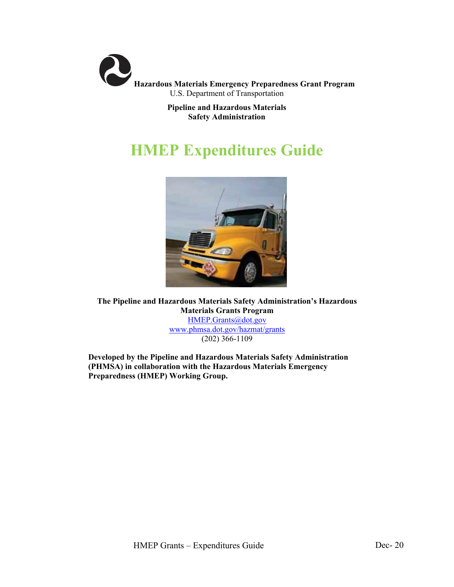

**Pipeline and Hazardous Materials Safety Administration**

# **HMEP Expenditures Guide**



**The Pipeline and Hazardous Materials Safety Administration's Hazardous Materials Grants Program** [HMEP.Grants@dot.gov](mailto:HMEP.Grants@dot.gov) [www.phmsa.dot.gov/hazmat/grants](http://www.phmsa.dot.gov/hazmat/grants) (202) 366-1109

**Developed by the Pipeline and Hazardous Materials Safety Administration (PHMSA) in collaboration with the Hazardous Materials Emergency Preparedness (HMEP) Working Group.**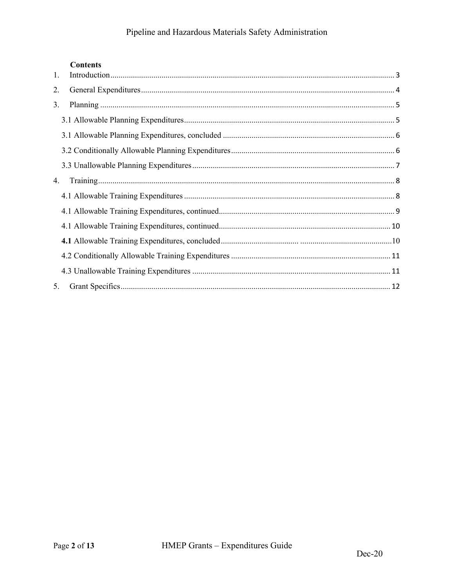# Pipeline and Hazardous Materials Safety Administration

# **Contents**

| 1. |  |
|----|--|
| 2. |  |
| 3. |  |
|    |  |
|    |  |
|    |  |
|    |  |
| 4. |  |
|    |  |
|    |  |
|    |  |
|    |  |
|    |  |
|    |  |
| 5. |  |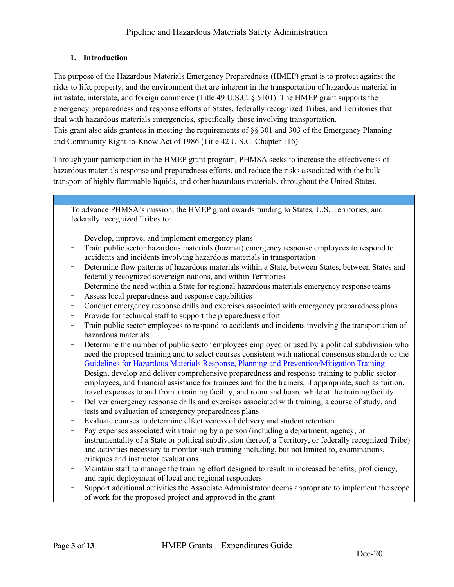# <span id="page-2-0"></span>**1. Introduction**

The purpose of the Hazardous Materials Emergency Preparedness (HMEP) grant is to protect against the risks to life, property, and the environment that are inherent in the transportation of hazardous material in intrastate, interstate, and foreign commerce (Title 49 U.S.C. § 5101). The HMEP grant supports the emergency preparedness and response efforts of States, federally recognized Tribes, and Territories that deal with hazardous materials emergencies, specifically those involving transportation. This grant also aids grantees in meeting the requirements of §§ 301 and 303 of the Emergency Planning and Community Right-to-Know Act of 1986 (Title 42 U.S.C. Chapter 116).

Through your participation in the HMEP grant program, PHMSA seeks to increase the effectiveness of hazardous materials response and preparedness efforts, and reduce the risks associated with the bulk transport of highly flammable liquids, and other hazardous materials, throughout the United States.

To advance PHMSA's mission, the HMEP grant awards funding to States, U.S. Territories, and federally recognized Tribes to:

- Develop, improve, and implement emergency plans
- Train public sector hazardous materials (hazmat) emergency response employees to respond to accidents and incidents involving hazardous materials in transportation
- − Determine flow patterns of hazardous materials within a State, between States, between States and federally recognized sovereign nations, and within Territories.
- Determine the need within a State for regional hazardous materials emergency response teams
- Assess local preparedness and response capabilities
- Conduct emergency response drills and exercises associated with emergency preparedness plans
- Provide for technical staff to support the preparedness effort
- Train public sector employees to respond to accidents and incidents involving the transportation of hazardous materials
- Determine the number of public sector employees employed or used by a political subdivision who need the proposed training and to select courses consistent with national consensus standards or th[e](https://www.phmsa.dot.gov/hazmat/dot-announces-the-2016-guidelines-for-hazardous-materials-response-planning-and-prevention-mitigation-training) [Guidelines for Hazardous Materials Response, Planning and Prevention/Mitigation](https://www.phmsa.dot.gov/hazmat/dot-announces-the-2016-guidelines-for-hazardous-materials-response-planning-and-prevention-mitigation-training) Training
- − Design, develop and deliver comprehensive preparedness and response training to public sector employees, and financial assistance for trainees and for the trainers, if appropriate, such as tuition, travel expenses to and from a training facility, and room and board while at the training facility
- − Deliver emergency response drills and exercises associated with training, a course of study, and tests and evaluation of emergency preparedness plans
- Evaluate courses to determine effectiveness of delivery and student retention
- Pay expenses associated with training by a person (including a department, agency, or instrumentality of a State or political subdivision thereof, a Territory, or federally recognized Tribe) and activities necessary to monitor such training including, but not limited to, examinations, critiques and instructor evaluations
- Maintain staff to manage the training effort designed to result in increased benefits, proficiency, and rapid deployment of local and regional responders
- − Support additional activities the Associate Administrator deems appropriate to implement the scope of work for the proposed project and approved in the grant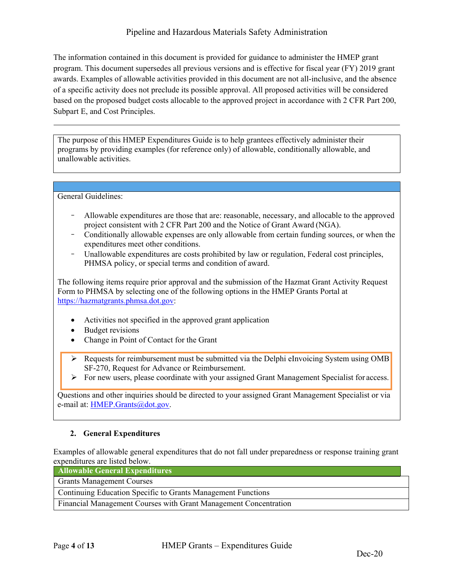# Pipeline and Hazardous Materials Safety Administration

The information contained in this document is provided for guidance to administer the HMEP grant program. This document supersedes all previous versions and is effective for fiscal year (FY) 2019 grant awards. Examples of allowable activities provided in this document are not all-inclusive, and the absence of a specific activity does not preclude its possible approval. All proposed activities will be considered based on the proposed budget costs allocable to the approved project in accordance with 2 CFR Part 200, Subpart E, and Cost Principles.

The purpose of this HMEP Expenditures Guide is to help grantees effectively administer their programs by providing examples (for reference only) of allowable, conditionally allowable, and unallowable activities.

General Guidelines:

- − Allowable expenditures are those that are: reasonable, necessary, and allocable to the approved project consistent with 2 CFR Part 200 and the Notice of Grant Award (NGA).
- − Conditionally allowable expenses are only allowable from certain funding sources, or when the expenditures meet other conditions.
- − Unallowable expenditures are costs prohibited by law or regulation, Federal cost principles, PHMSA policy, or special terms and condition of award.

The following items require prior approval and the submission of the Hazmat Grant Activity Request Form to PHMSA by selecting one of the following options in the HMEP Grants Portal at [https://hazmatgrants.phmsa.dot.gov:](https://hazmatgrants.phmsa.dot.gov/)

- Activities not specified in the approved grant application
- **Budget revisions**
- Change in Point of Contact for the Grant

 $\triangleright$  Requests for reimbursement must be submitted via the Delphi eInvoicing System using OMB SF-270, Request for Advance or Reimbursement.

 $\triangleright$  For new users, please coordinate with your assigned Grant Management Specialist for access.

Questions and other inquiries should be directed to your assigned Grant Management Specialist or via e-mail at: [HMEP.Grants@dot.gov.](mailto:HMEP.Grants@dot.gov)

# <span id="page-3-0"></span>**2. General Expenditures**

Examples of allowable general expenditures that do not fall under preparedness or response training grant expenditures are listed below.

| <b>Allowable General Expenditures</b>                                   |  |
|-------------------------------------------------------------------------|--|
| <b>Grants Management Courses</b>                                        |  |
| Continuing Education Specific to Grants Management Functions            |  |
| <b>Financial Management Courses with Grant Management Concentration</b> |  |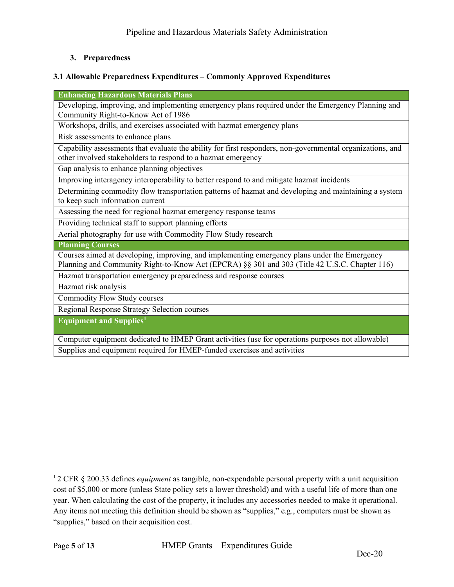# <span id="page-4-0"></span>**3. Preparedness**

### <span id="page-4-1"></span>**3.1 Allowable Preparedness Expenditures – Commonly Approved Expenditures**

**Enhancing Hazardous Materials Plans** Developing, improving, and implementing emergency plans required under the Emergency Planning and Community Right-to-Know Act of 1986 Workshops, drills, and exercises associated with hazmat emergency plans Risk assessments to enhance plans Capability assessments that evaluate the ability for first responders, non-governmental organizations, and other involved stakeholders to respond to a hazmat emergency Gap analysis to enhance planning objectives Improving interagency interoperability to better respond to and mitigate hazmat incidents Determining commodity flow transportation patterns of hazmat and developing and maintaining a system to keep such information current Assessing the need for regional hazmat emergency response teams Providing technical staff to support planning efforts Aerial photography for use with Commodity Flow Study research **Planning Courses** Courses aimed at developing, improving, and implementing emergency plans under the Emergency Planning and Community Right-to-Know Act (EPCRA) §§ 301 and 303 (Title 42 U.S.C. Chapter 116) Hazmat transportation emergency preparedness and response courses Hazmat risk analysis Commodity Flow Study courses Regional Response Strategy Selection courses **Equipment and Supplie[s1](#page-4-2)**

Computer equipment dedicated to HMEP Grant activities (use for operations purposes not allowable) Supplies and equipment required for HMEP-funded exercises and activities

<span id="page-4-2"></span><sup>1 2</sup> CFR § 200.33 defines *equipment* as tangible, non-expendable personal property with a unit acquisition cost of \$5,000 or more (unless State policy sets a lower threshold) and with a useful life of more than one year. When calculating the cost of the property, it includes any accessories needed to make it operational. Any items not meeting this definition should be shown as "supplies," e.g., computers must be shown as "supplies," based on their acquisition cost.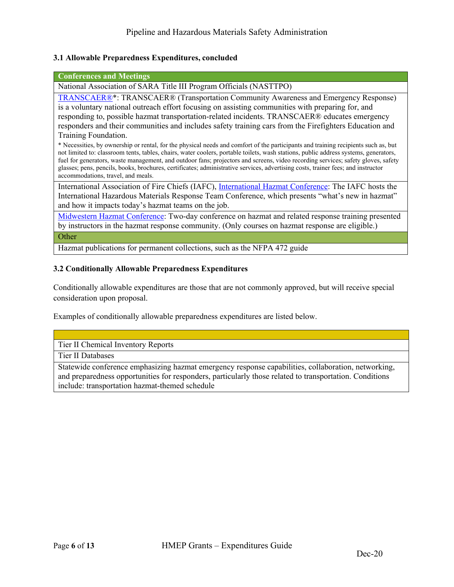### <span id="page-5-0"></span>**3.1 Allowable Preparedness Expenditures, concluded**

#### **Conferences and Meetings**

National Association of SARA Title III Program Officials (NASTTPO)

[TRANSCAER®\\*](http://www.transcaer.com/): TRANSCAER® (Transportation Community Awareness and Emergency Response) is a voluntary national outreach effort focusing on assisting communities with preparing for, and responding to, possible hazmat transportation-related incidents. TRANSCAER® educates emergency responders and their communities and includes safety training cars from the Firefighters Education and Training Foundation.

\* Necessities, by ownership or rental, for the physical needs and comfort of the participants and training recipients such as, but not limited to: classroom tents, tables, chairs, water coolers, portable toilets, wash stations, public address systems, generators, fuel for generators, waste management, and outdoor fans; projectors and screens, video recording services; safety gloves, safety glasses; pens, pencils, books, brochures, certificates; administrative services, advertising costs, trainer fees; and instructor accommodations, travel, and meals.

International Association of Fire Chiefs (IAFC), [International Hazmat Conference:](http://www.iafc.org/) The IAFC hosts the International Hazardous Materials Response Team Conference, which presents "what's new in hazmat" and how it impacts today's hazmat teams on the job.

[Midwestern Hazmat Conference:](https://emerysafety.com/) Two-day conference on hazmat and related response training presented by instructors in the hazmat response community. (Only courses on hazmat response are eligible.)

**Other** 

Hazmat publications for permanent collections, such as the NFPA 472 guide

### <span id="page-5-1"></span>**3.2 Conditionally Allowable Preparedness Expenditures**

Conditionally allowable expenditures are those that are not commonly approved, but will receive special consideration upon proposal.

Examples of conditionally allowable preparedness expenditures are listed below.

Tier II Chemical Inventory Reports

Tier II Databases

Statewide conference emphasizing hazmat emergency response capabilities, collaboration, networking, and preparedness opportunities for responders, particularly those related to transportation. Conditions include: transportation hazmat-themed schedule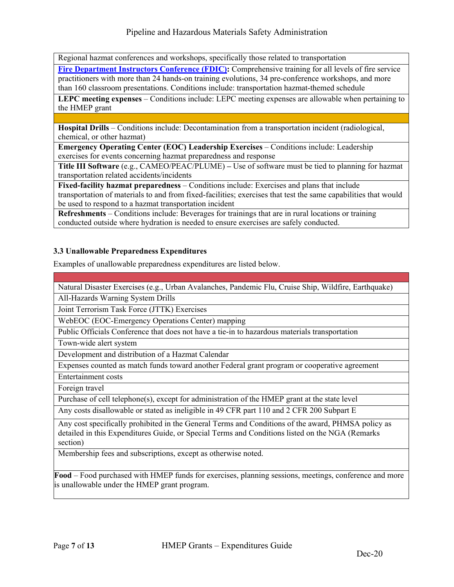Regional hazmat conferences and workshops, specifically those related to transportation

**Fire Department [Instructors Conference \(FDIC\):](http://www.fdiconlineevent.com/)** Comprehensive training for all levels of fire service practitioners with more than 24 hands-on training evolutions, 34 pre-conference workshops, and more than 160 classroom presentations. Conditions include: transportation hazmat-themed schedule

**LEPC meeting expenses** – Conditions include: LEPC meeting expenses are allowable when pertaining to the HMEP grant

**Hospital Drills** – Conditions include: Decontamination from a transportation incident (radiological, chemical, or other hazmat)

**Emergency Operating Center (EOC) Leadership Exercises** – Conditions include: Leadership exercises for events concerning hazmat preparedness and response

**Title III Software** (e.g., CAMEO/PEAC/PLUME) **–** Use of software must be tied to planning for hazmat transportation related accidents/incidents

**Fixed-facility hazmat preparedness** – Conditions include: Exercises and plans that include transportation of materials to and from fixed-facilities; exercises that test the same capabilities that would be used to respond to a hazmat transportation incident

**Refreshments** – Conditions include: Beverages for trainings that are in rural locations or training conducted outside where hydration is needed to ensure exercises are safely conducted.

# <span id="page-6-0"></span>**3.3 Unallowable Preparedness Expenditures**

Examples of unallowable preparedness expenditures are listed below.

Natural Disaster Exercises (e.g., Urban Avalanches, Pandemic Flu, Cruise Ship, Wildfire, Earthquake)

All-Hazards Warning System Drills

Joint Terrorism Task Force (JTTK) Exercises

WebEOC (EOC-Emergency Operations Center) mapping

Public Officials Conference that does not have a tie-in to hazardous materials transportation

Town-wide alert system

Development and distribution of a Hazmat Calendar

Expenses counted as match funds toward another Federal grant program or cooperative agreement

Entertainment costs

Foreign travel

Purchase of cell telephone(s), except for administration of the HMEP grant at the state level

Any costs disallowable or stated as ineligible in 49 CFR part 110 and 2 CFR 200 Subpart E

Any cost specifically prohibited in the General Terms and Conditions of the award, PHMSA policy as detailed in this Expenditures Guide, or Special Terms and Conditions listed on the NGA (Remarks section)

Membership fees and subscriptions, except as otherwise noted.

**Food** – Food purchased with HMEP funds for exercises, planning sessions, meetings, conference and more is unallowable under the HMEP grant program.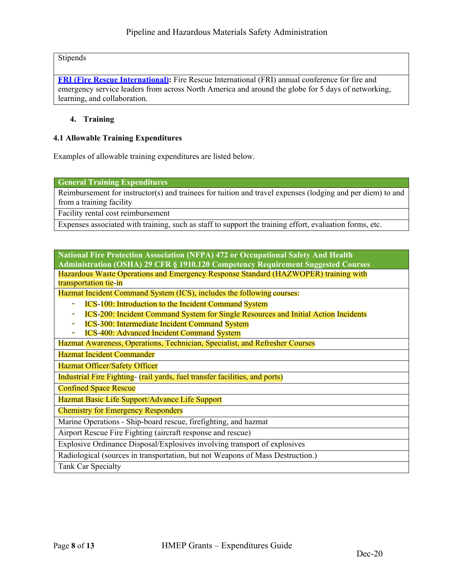Stipends

**[FRI \(Fire Rescue International\):](http://fri.iafc.org/)** Fire Rescue International (FRI) annual conference for fire and emergency service leaders from across North America and around the globe for 5 days of networking, learning, and collaboration.

### <span id="page-7-0"></span>**4. Training**

### <span id="page-7-1"></span>**4.1 Allowable Training Expenditures**

Examples of allowable training expenditures are listed below.

**General Training Expenditures**

Reimbursement for instructor(s) and trainees for tuition and travel expenses (lodging and per diem) to and from a training facility

Facility rental cost reimbursement

Expenses associated with training, such as staff to support the training effort, evaluation forms, etc.

**National Fire Protection Association (NFPA) 472 or Occupational Safety And Health Administration (OSHA) 29 CFR § 1910.120 Competency Requirement Suggested Courses** Hazardous Waste Operations and Emergency Response Standard (HAZWOPER) training with transportation tie-in

Hazmat Incident Command System (ICS), includes the following courses:

- ICS-100: Introduction to the Incident Command System
- − ICS-200: Incident Command System for Single Resources and Initial Action Incidents
- − ICS-300: Intermediate Incident Command System
- − ICS-400: Advanced Incident Command System

Hazmat Awareness, Operations, Technician, Specialist, and Refresher Courses

Hazmat Incident Commander

Hazmat Officer/Safety Officer

Industrial Fire Fighting- (rail yards, fuel transfer facilities, and ports)

Confined Space Rescue

Hazmat Basic Life Support/Advance Life Support

Chemistry for Emergency Responders

Marine Operations - Ship-board rescue, firefighting, and hazmat

Airport Rescue Fire Fighting (aircraft response and rescue)

Explosive Ordinance Disposal/Explosives involving transport of explosives

Radiological (sources in transportation, but not Weapons of Mass Destruction.)

Tank Car Specialty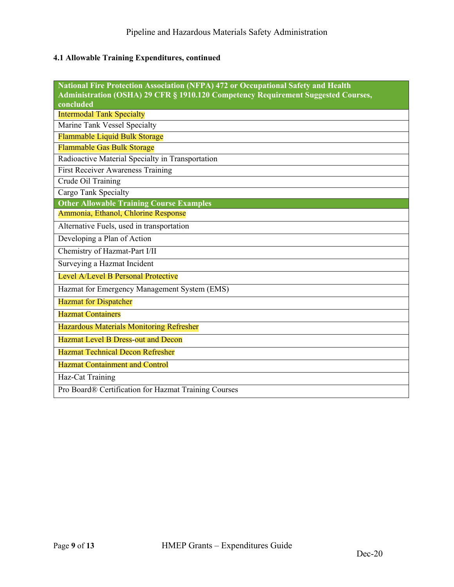# <span id="page-8-0"></span>**4.1 Allowable Training Expenditures, continued**

| <b>National Fire Protection Association (NFPA) 472 or Occupational Safety and Health</b><br>Administration (OSHA) 29 CFR § 1910.120 Competency Requirement Suggested Courses,<br>concluded |
|--------------------------------------------------------------------------------------------------------------------------------------------------------------------------------------------|
| <b>Intermodal Tank Specialty</b>                                                                                                                                                           |
| Marine Tank Vessel Specialty                                                                                                                                                               |
| Flammable Liquid Bulk Storage                                                                                                                                                              |
| Flammable Gas Bulk Storage                                                                                                                                                                 |
| Radioactive Material Specialty in Transportation                                                                                                                                           |
| <b>First Receiver Awareness Training</b>                                                                                                                                                   |
| Crude Oil Training                                                                                                                                                                         |
| Cargo Tank Specialty                                                                                                                                                                       |
| <b>Other Allowable Training Course Examples</b>                                                                                                                                            |
| Ammonia, Ethanol, Chlorine Response                                                                                                                                                        |
| Alternative Fuels, used in transportation                                                                                                                                                  |
| Developing a Plan of Action                                                                                                                                                                |
| Chemistry of Hazmat-Part I/II                                                                                                                                                              |
| Surveying a Hazmat Incident                                                                                                                                                                |
| Level A/Level B Personal Protective                                                                                                                                                        |
| Hazmat for Emergency Management System (EMS)                                                                                                                                               |
| <b>Hazmat for Dispatcher</b>                                                                                                                                                               |
| <b>Hazmat Containers</b>                                                                                                                                                                   |
| <b>Hazardous Materials Monitoring Refresher</b>                                                                                                                                            |
| <b>Hazmat Level B Dress-out and Decon</b>                                                                                                                                                  |
| <b>Hazmat Technical Decon Refresher</b>                                                                                                                                                    |
| <b>Hazmat Containment and Control</b>                                                                                                                                                      |
| Haz-Cat Training                                                                                                                                                                           |
| Pro Board® Certification for Hazmat Training Courses                                                                                                                                       |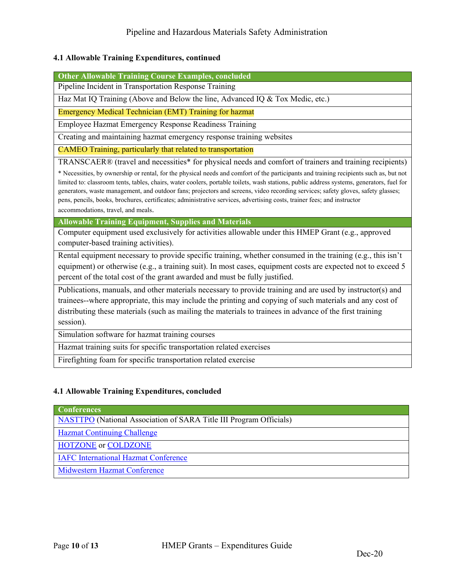### <span id="page-9-0"></span>**4.1 Allowable Training Expenditures, continued**

**Other Allowable Training Course Examples, concluded**

Pipeline Incident in Transportation Response Training

Haz Mat IQ Training (Above and Below the line, Advanced IQ & Tox Medic, etc.)

Emergency Medical Technician (EMT) Training for hazmat

Employee Hazmat Emergency Response Readiness Training

Creating and maintaining hazmat emergency response training websites

CAMEO Training, particularly that related to transportation

TRANSCAER® (travel and necessities\* for physical needs and comfort of trainers and training recipients)

\* Necessities, by ownership or rental, for the physical needs and comfort of the participants and training recipients such as, but not limited to: classroom tents, tables, chairs, water coolers, portable toilets, wash stations, public address systems, generators, fuel for generators, waste management, and outdoor fans; projectors and screens, video recording services; safety gloves, safety glasses; pens, pencils, books, brochures, certificates; administrative services, advertising costs, trainer fees; and instructor accommodations, travel, and meals.

**Allowable Training Equipment, Supplies and Materials**

Computer equipment used exclusively for activities allowable under this HMEP Grant (e.g., approved computer-based training activities).

Rental equipment necessary to provide specific training, whether consumed in the training (e.g., this isn't equipment) or otherwise (e.g., a training suit). In most cases, equipment costs are expected not to exceed 5 percent of the total cost of the grant awarded and must be fully justified.

Publications, manuals, and other materials necessary to provide training and are used by instructor(s) and trainees--where appropriate, this may include the printing and copying of such materials and any cost of distributing these materials (such as mailing the materials to trainees in advance of the first training session).

Simulation software for hazmat training courses

Hazmat training suits for specific transportation related exercises

Firefighting foam for specific transportation related exercise

### **4.1 Allowable Training Expenditures, concluded**

### **Conferences**

[NASTTPO](http://nasttpo.com/) (National Association of SARA Title III Program Officials)

[Hazmat Continuing Challenge](http://www.hazmat.org/index.cfm?section=1)

[HOTZONE](http://hotzone.org/) or [COLDZONE](http://www.coldzone.org/)

[IAFC International Hazmat Conference](https://www.iafc.org/topics-and-tools/hazmat)

[Midwestern Hazmat Conference](https://emerysafety.com/)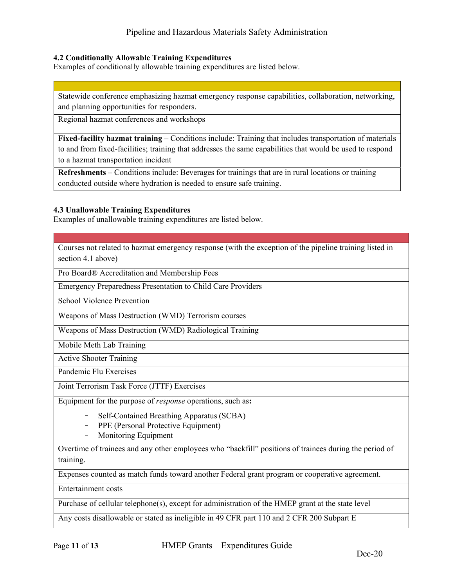### <span id="page-10-0"></span>**4.2 Conditionally Allowable Training Expenditures**

Examples of conditionally allowable training expenditures are listed below.

Statewide conference emphasizing hazmat emergency response capabilities, collaboration, networking, and planning opportunities for responders.

Regional hazmat conferences and workshops

**Fixed-facility hazmat training** – Conditions include: Training that includes transportation of materials to and from fixed-facilities; training that addresses the same capabilities that would be used to respond to a hazmat transportation incident

**Refreshments** – Conditions include: Beverages for trainings that are in rural locations or training conducted outside where hydration is needed to ensure safe training.

### <span id="page-10-1"></span>**4.3 Unallowable Training Expenditures**

Examples of unallowable training expenditures are listed below.

Courses not related to hazmat emergency response (with the exception of the pipeline training listed in section 4.1 above)

Pro Board® Accreditation and Membership Fees

Emergency Preparedness Presentation to Child Care Providers

School Violence Prevention

Weapons of Mass Destruction (WMD) Terrorism courses

Weapons of Mass Destruction (WMD) Radiological Training

Mobile Meth Lab Training

Active Shooter Training

Pandemic Flu Exercises

Joint Terrorism Task Force (JTTF) Exercises

Equipment for the purpose of *response* operations, such as**:**

- − Self-Contained Breathing Apparatus (SCBA)
- − PPE (Personal Protective Equipment)
- − Monitoring Equipment

Overtime of trainees and any other employees who "backfill" positions of trainees during the period of training.

Expenses counted as match funds toward another Federal grant program or cooperative agreement.

Entertainment costs

Purchase of cellular telephone(s), except for administration of the HMEP grant at the state level

Any costs disallowable or stated as ineligible in 49 CFR part 110 and 2 CFR 200 Subpart E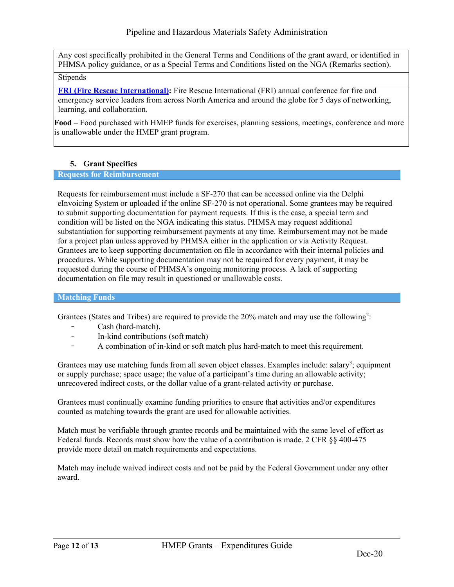Any cost specifically prohibited in the General Terms and Conditions of the grant award, or identified in PHMSA policy guidance, or as a Special Terms and Conditions listed on the NGA (Remarks section).

# Stipends

**[FRI \(Fire Rescue International\):](http://fri.iafc.org/)** Fire Rescue International (FRI) annual conference for fire and emergency service leaders from across North America and around the globe for 5 days of networking, learning, and collaboration.

**Food** – Food purchased with HMEP funds for exercises, planning sessions, meetings, conference and more is unallowable under the HMEP grant program.

# **5. Grant Specifics**

### <span id="page-11-0"></span>**Requests for Reimbursement**

Requests for reimbursement must include a SF-270 that can be accessed online via the Delphi eInvoicing System or uploaded if the online SF-270 is not operational. Some grantees may be required to submit supporting documentation for payment requests. If this is the case, a special term and condition will be listed on the NGA indicating this status. PHMSA may request additional substantiation for supporting reimbursement payments at any time. Reimbursement may not be made for a project plan unless approved by PHMSA either in the application or via Activity Request. Grantees are to keep supporting documentation on file in accordance with their internal policies and procedures. While supporting documentation may not be required for every payment, it may be requested during the course of PHMSA's ongoing monitoring process. A lack of supporting documentation on file may result in questioned or unallowable costs.

### **Matching Funds**

Grantees (States and Tribes) are required to provide the 20% match and may use the following<sup>2</sup>:

- − Cash (hard-match),
- − In-kind contributions (soft match)
- A combination of in-kind or soft match plus hard-match to meet this requirement.

Grantees may use matching funds from all seven object classes. Examples include: salary<sup>3</sup>; equipment or supply purchase; space usage; the value of a participant's time during an allowable activity; unrecovered indirect costs, or the dollar value of a grant-related activity or purchase.

Grantees must continually examine funding priorities to ensure that activities and/or expenditures counted as matching towards the grant are used for allowable activities.

Match must be verifiable through grantee records and be maintained with the same level of effort as Federal funds. Records must show how the value of a contribution is made. 2 CFR §§ 400-475 provide more detail on match requirements and expectations.

Match may include waived indirect costs and not be paid by the Federal Government under any other award.